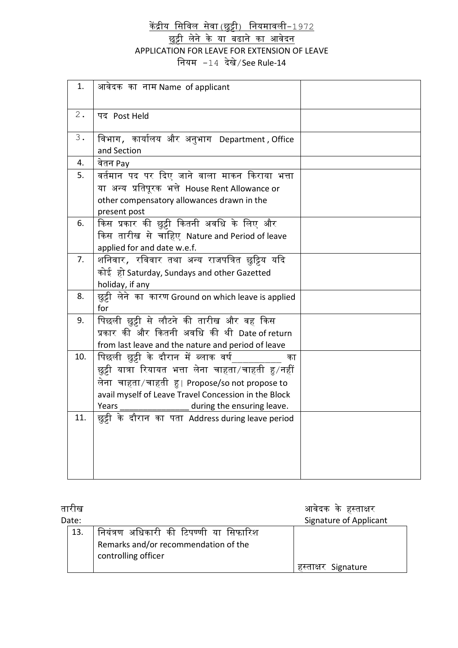केंद्रीय सिविल सेवा (छुट्टी) नियमावली–1972

<u>छुट्टी लेने के या बढाने का आवेदन</u> APPLICATION FOR LEAVE FOR EXTENSION OF LEAVE सियम -14 देखे/See Rule-14

| 1.    | आवेदक का नाम Name of applicant                       |  |
|-------|------------------------------------------------------|--|
|       |                                                      |  |
| $2$ . | पद Post Held                                         |  |
|       |                                                      |  |
| 3.    | विभाग, कार्यालय और अनुभाग Department, Office         |  |
|       | and Section                                          |  |
| 4.    | वेतन Pay                                             |  |
| 5.    | वर्तमान पद पर दिए जाने वाला माकन किराया भत्ता        |  |
|       | या  अन्य  प्रतिपूरक  भत्ते  House Rent Allowance or  |  |
|       | other compensatory allowances drawn in the           |  |
|       | present post                                         |  |
| 6.    | किस प्रकार की छुट्टी कितनी अवधि के लिए और            |  |
|       | किस तारीख से चाहिए Nature and Period of leave        |  |
|       | applied for and date w.e.f.                          |  |
| 7.    | शनिवार, रविवार तथा अन्य राजपत्रित छुट्टिय यदि        |  |
|       | कोई हो Saturday, Sundays and other Gazetted          |  |
|       | holiday, if any                                      |  |
| 8.    | छुट्टी लेने का कारण Ground on which leave is applied |  |
|       | for                                                  |  |
| 9.    | पिछली छुट्टी से लौटने की तारीख और वह किस             |  |
|       | प्रकार की और कितनी अवधि की थी Date of return         |  |
|       | from last leave and the nature and period of leave   |  |
| 10.   | पिछली छुट्टी के दौरान में ब्लाक वर्ष<br>का           |  |
|       | छुट्टी यात्रा रियायत भत्ता लेना चाहता/चाहती हु/नहीं  |  |
|       | लेना चाहता/चाहती हु। Propose/so not propose to       |  |
|       | avail myself of Leave Travel Concession in the Block |  |
|       | Years<br>during the ensuring leave.                  |  |
| 11.   | छुट्टी के दौरान का पता Address during leave period   |  |
|       |                                                      |  |
|       |                                                      |  |
|       |                                                      |  |
|       |                                                      |  |
|       |                                                      |  |

| ताराख |                                                             | आवेदक के हस्ताक्षर     |
|-------|-------------------------------------------------------------|------------------------|
| Date: |                                                             | Signature of Applicant |
| 13.   | नियंत्रण अधिकारी की टिपण्णी या सिफारिश                      |                        |
|       | Remarks and/or recommendation of the<br>controlling officer |                        |
|       |                                                             | हस्ताक्षर Signature    |